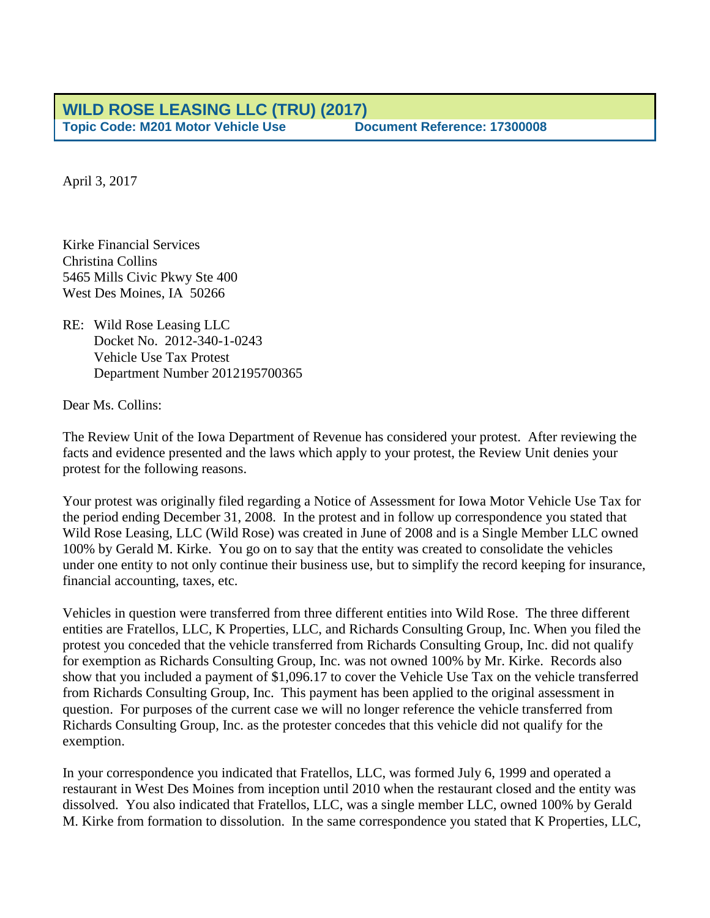April 3, 2017

Kirke Financial Services Christina Collins 5465 Mills Civic Pkwy Ste 400 West Des Moines, IA 50266

RE: Wild Rose Leasing LLC Docket No. 2012-340-1-0243 Vehicle Use Tax Protest Department Number 2012195700365

Dear Ms. Collins:

The Review Unit of the Iowa Department of Revenue has considered your protest. After reviewing the facts and evidence presented and the laws which apply to your protest, the Review Unit denies your protest for the following reasons.

Your protest was originally filed regarding a Notice of Assessment for Iowa Motor Vehicle Use Tax for the period ending December 31, 2008. In the protest and in follow up correspondence you stated that Wild Rose Leasing, LLC (Wild Rose) was created in June of 2008 and is a Single Member LLC owned 100% by Gerald M. Kirke. You go on to say that the entity was created to consolidate the vehicles under one entity to not only continue their business use, but to simplify the record keeping for insurance, financial accounting, taxes, etc.

Vehicles in question were transferred from three different entities into Wild Rose. The three different entities are Fratellos, LLC, K Properties, LLC, and Richards Consulting Group, Inc. When you filed the protest you conceded that the vehicle transferred from Richards Consulting Group, Inc. did not qualify for exemption as Richards Consulting Group, Inc. was not owned 100% by Mr. Kirke. Records also show that you included a payment of \$1,096.17 to cover the Vehicle Use Tax on the vehicle transferred from Richards Consulting Group, Inc. This payment has been applied to the original assessment in question. For purposes of the current case we will no longer reference the vehicle transferred from Richards Consulting Group, Inc. as the protester concedes that this vehicle did not qualify for the exemption.

In your correspondence you indicated that Fratellos, LLC, was formed July 6, 1999 and operated a restaurant in West Des Moines from inception until 2010 when the restaurant closed and the entity was dissolved. You also indicated that Fratellos, LLC, was a single member LLC, owned 100% by Gerald M. Kirke from formation to dissolution. In the same correspondence you stated that K Properties, LLC,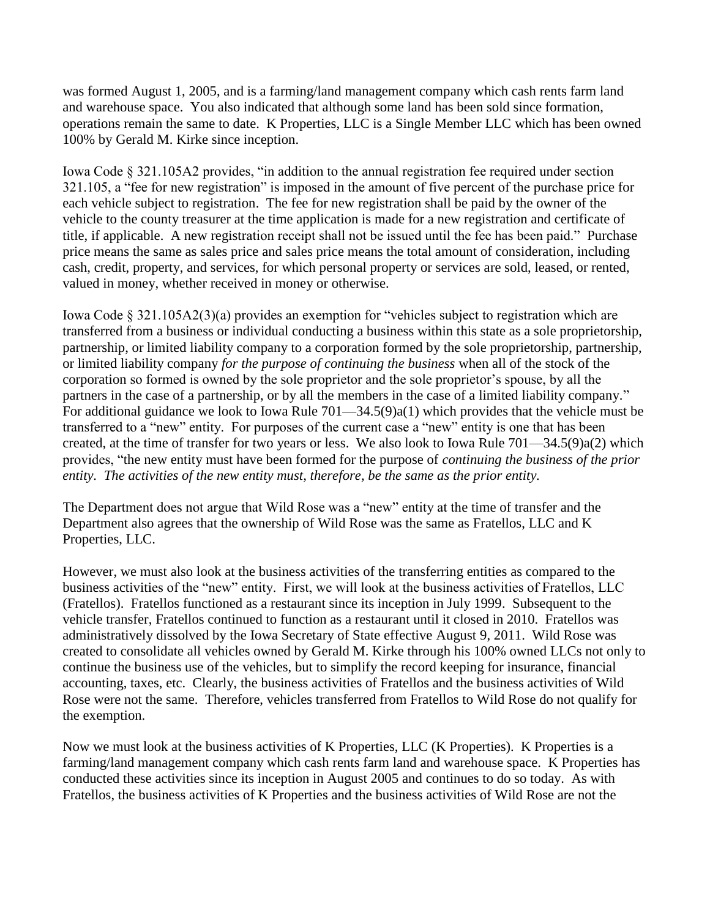was formed August 1, 2005, and is a farming/land management company which cash rents farm land and warehouse space. You also indicated that although some land has been sold since formation, operations remain the same to date. K Properties, LLC is a Single Member LLC which has been owned 100% by Gerald M. Kirke since inception.

Iowa Code § 321.105A2 provides, "in addition to the annual registration fee required under section 321.105, a "fee for new registration" is imposed in the amount of five percent of the purchase price for each vehicle subject to registration. The fee for new registration shall be paid by the owner of the vehicle to the county treasurer at the time application is made for a new registration and certificate of title, if applicable. A new registration receipt shall not be issued until the fee has been paid." Purchase price means the same as sales price and sales price means the total amount of consideration, including cash, credit, property, and services, for which personal property or services are sold, leased, or rented, valued in money, whether received in money or otherwise.

Iowa Code § 321.105A2(3)(a) provides an exemption for "vehicles subject to registration which are transferred from a business or individual conducting a business within this state as a sole proprietorship, partnership, or limited liability company to a corporation formed by the sole proprietorship, partnership, or limited liability company *for the purpose of continuing the business* when all of the stock of the corporation so formed is owned by the sole proprietor and the sole proprietor's spouse, by all the partners in the case of a partnership, or by all the members in the case of a limited liability company." For additional guidance we look to Iowa Rule 701—34.5(9)a(1) which provides that the vehicle must be transferred to a "new" entity. For purposes of the current case a "new" entity is one that has been created, at the time of transfer for two years or less. We also look to Iowa Rule 701—34.5(9)a(2) which provides, "the new entity must have been formed for the purpose of *continuing the business of the prior entity. The activities of the new entity must, therefore, be the same as the prior entity.*

The Department does not argue that Wild Rose was a "new" entity at the time of transfer and the Department also agrees that the ownership of Wild Rose was the same as Fratellos, LLC and K Properties, LLC.

However, we must also look at the business activities of the transferring entities as compared to the business activities of the "new" entity. First, we will look at the business activities of Fratellos, LLC (Fratellos). Fratellos functioned as a restaurant since its inception in July 1999. Subsequent to the vehicle transfer, Fratellos continued to function as a restaurant until it closed in 2010. Fratellos was administratively dissolved by the Iowa Secretary of State effective August 9, 2011. Wild Rose was created to consolidate all vehicles owned by Gerald M. Kirke through his 100% owned LLCs not only to continue the business use of the vehicles, but to simplify the record keeping for insurance, financial accounting, taxes, etc. Clearly, the business activities of Fratellos and the business activities of Wild Rose were not the same. Therefore, vehicles transferred from Fratellos to Wild Rose do not qualify for the exemption.

Now we must look at the business activities of K Properties, LLC (K Properties). K Properties is a farming/land management company which cash rents farm land and warehouse space. K Properties has conducted these activities since its inception in August 2005 and continues to do so today. As with Fratellos, the business activities of K Properties and the business activities of Wild Rose are not the